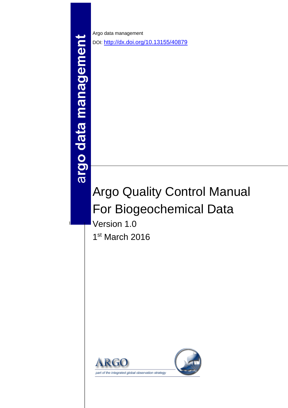argo data management

1

Argo data management DOI: <http://dx.doi.org/10.13155/40879>

# Argo Quality Control Manual For Biogeochemical Data

Version 1.0 1 st March 2016

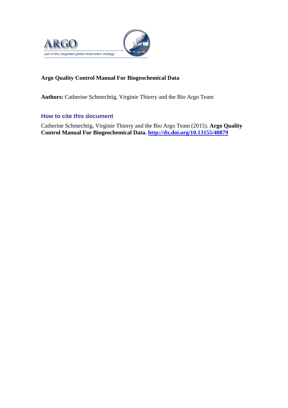

# **Argo Quality Control Manual For Biogeochemical Data**

**Authors:** Catherine Schmechtig, Virginie Thierry and the Bio Argo Team

# **How to cite this document**

Catherine Schmechtig, Virginie Thierry and the Bio Argo Team (2015). **Argo Quality Control Manual For Biogeochemical Data.<http://dx.doi.org/10.13155/40879>**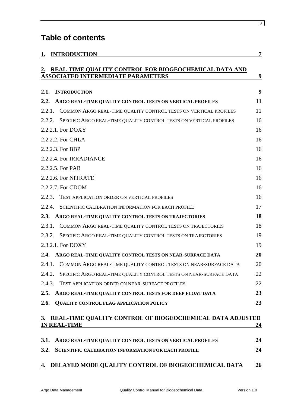# **Table of contents**

|             | <b>INTRODUCTION</b>                                                                                | $\overline{7}$ |
|-------------|----------------------------------------------------------------------------------------------------|----------------|
| $2_{\cdot}$ | REAL-TIME QUALITY CONTROL FOR BIOGEOCHEMICAL DATA AND<br><b>ASSOCIATED INTERMEDIATE PARAMETERS</b> | <u>9</u>       |
| 2.1.        | <b>INTRODUCTION</b>                                                                                | 9              |
| 2.2.        | ARGO REAL-TIME QUALITY CONTROL TESTS ON VERTICAL PROFILES                                          | 11             |
| 2.2.1.      | COMMON ARGO REAL-TIME QUALITY CONTROL TESTS ON VERTICAL PROFILES                                   | 11             |
| 2.2.2.      | SPECIFIC ARGO REAL-TIME QUALITY CONTROL TESTS ON VERTICAL PROFILES                                 | 16             |
|             | 2.2.2.1. For DOXY                                                                                  | 16             |
|             | 2.2.2.2. For CHLA                                                                                  | 16             |
|             | 2.2.2.3. For BBP                                                                                   | 16             |
|             | 2.2.2.4. For IRRADIANCE                                                                            | 16             |
|             | 2.2.2.5. For PAR                                                                                   | 16             |
|             | 2.2.2.6. For NITRATE                                                                               | 16             |
|             | 2.2.2.7. For CDOM                                                                                  | 16             |
| 2.2.3.      | TEST APPLICATION ORDER ON VERTICAL PROFILES                                                        | 16             |
| 2.2.4.      | SCIENTIFIC CALIBRATION INFORMATION FOR EACH PROFILE                                                | 17             |
| 2.3.        | ARGO REAL-TIME QUALITY CONTROL TESTS ON TRAJECTORIES                                               | 18             |
| 2.3.1.      | COMMON ARGO REAL-TIME QUALITY CONTROL TESTS ON TRAJECTORIES                                        | 18             |
| 2.3.2.      | SPECIFIC ARGO REAL-TIME QUALITY CONTROL TESTS ON TRAJECTORIES                                      | 19             |
|             | 2.3.2.1. For DOXY                                                                                  | 19             |
| 2.4.        | ARGO REAL-TIME QUALITY CONTROL TESTS ON NEAR-SURFACE DATA                                          | 20             |
|             | 2.4.1. COMMON ARGO REAL-TIME QUALITY CONTROL TESTS ON NEAR-SURFACE DATA                            | 20             |
| 2.4.2.      | SPECIFIC ARGO REAL-TIME QUALITY CONTROL TESTS ON NEAR-SURFACE DATA                                 | 22             |
| 2.4.3.      | TEST APPLICATION ORDER ON NEAR-SURFACE PROFILES                                                    | 22             |
| 2.5.        | ARGO REAL-TIME QUALITY CONTROL TESTS FOR DEEP FLOAT DATA                                           | 23             |
| 2.6.        | <b>QUALITY CONTROL FLAG APPLICATION POLICY</b>                                                     | 23             |
| 3.          | REAL-TIME QUALITY CONTROL OF BIOGEOCHEMICAL DATA ADJUSTED                                          |                |
|             | <b>IN REAL-TIME</b>                                                                                | <u>24</u>      |
| 3.1.        | ARGO REAL-TIME QUALITY CONTROL TESTS ON VERTICAL PROFILES                                          | 24             |
| 3.2.        | <b>SCIENTIFIC CALIBRATION INFORMATION FOR EACH PROFILE</b>                                         | 24             |

# **4. DELAYED MODE [QUALITY CONTROL OF BIOGEOCHEMICAL DATA](#page-25-0) 26**

3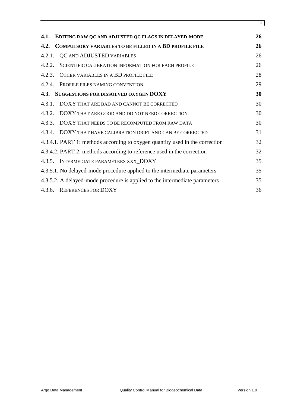| 4.1.   | EDITING RAW QC AND ADJUSTED QC FLAGS IN DELAYED-MODE                         | 26 |
|--------|------------------------------------------------------------------------------|----|
| 4.2.   | <b>COMPULSORY VARIABLES TO BE FILLED IN A BD PROFILE FILE</b>                | 26 |
| 4.2.1. | QC AND ADJUSTED VARIABLES                                                    | 26 |
| 4.2.2. | SCIENTIFIC CALIBRATION INFORMATION FOR EACH PROFILE                          | 26 |
| 4.2.3. | OTHER VARIABLES IN A BD PROFILE FILE                                         | 28 |
| 4.2.4. | PROFILE FILES NAMING CONVENTION                                              | 29 |
| 4.3.   | SUGGESTIONS FOR DISSOLVED OXYGEN DOXY                                        | 30 |
| 4.3.1. | DOXY THAT ARE BAD AND CANNOT BE CORRECTED                                    | 30 |
|        | 4.3.2. DOXY THAT ARE GOOD AND DO NOT NEED CORRECTION                         | 30 |
| 4.3.3. | DOXY THAT NEEDS TO BE RECOMPUTED FROM RAW DATA                               | 30 |
|        | 4.3.4. DOXY THAT HAVE CALIBRATION DRIFT AND CAN BE CORRECTED                 | 31 |
|        | 4.3.4.1. PART 1: methods according to oxygen quantity used in the correction | 32 |
|        | 4.3.4.2. PART 2: methods according to reference used in the correction       | 32 |
|        | 4.3.5. INTERMEDIATE PARAMETERS XXX_DOXY                                      | 35 |
|        | 4.3.5.1. No delayed-mode procedure applied to the intermediate parameters    | 35 |
|        | 4.3.5.2. A delayed-mode procedure is applied to the intermediate parameters  | 35 |
|        | 4.3.6. REFERENCES FOR DOXY                                                   | 36 |

4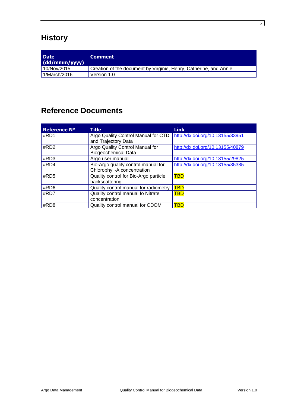# **History**

| <b>Date</b><br>(dd/mm) | <b>Comment</b>                                                     |
|------------------------|--------------------------------------------------------------------|
| 10/Nov/2015            | Creation of the document by Virginie, Henry, Catherine, and Annie. |
| 1/March/2016           | Version 1.0                                                        |

# **Reference Documents**

<span id="page-4-5"></span><span id="page-4-4"></span><span id="page-4-3"></span><span id="page-4-2"></span><span id="page-4-1"></span><span id="page-4-0"></span>

| <b>Reference N°</b> | <b>Title</b>                                                       | <b>Link</b>                      |
|---------------------|--------------------------------------------------------------------|----------------------------------|
| #RD1                | Argo Quality Control Manual for CTD<br>and Trajectory Data         | http://dx.doi.org/10.13155/33951 |
| #RD2                | Argo Quality Control Manual for<br><b>Biogeochemical Data</b>      | http://dx.doi.org/10.13155/40879 |
| #RD3                | Argo user manual                                                   | http://dx.doi.org/10.13155/29825 |
| #RD4                | Bio-Argo quality control manual for<br>Chlorophyll-A concentration | http://dx.doi.org/10.13155/35385 |
| #RD5                | Quality control for Bio-Argo particle<br>backscattering            | <b>TBD</b>                       |
| #RD6                | Quality control manual for radiometry                              | <b>TBD</b>                       |
| #RD7                | Quality control manual fo Nitrate<br>concentration                 | <b>TBD</b>                       |
| #RD8                | Quality control manual for CDOM                                    | <b>TBD</b>                       |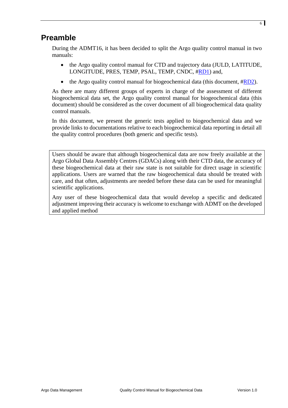# **Preamble**

During the ADMT16, it has been decided to split the Argo quality control manual in two manuals:

- the Argo quality control manual for CTD and trajectory data (JULD, LATITUDE, LONGITUDE, PRES, TEMP, PSAL, TEMP, CNDC, [#RD1\)](#page-4-0) and,
- the Argo quality control manual for biogeochemical data (this document,  $\#RD2$ ).

As there are many different groups of experts in charge of the assessment of different biogeochemical data set, the Argo quality control manual for biogeochemical data (this document) should be considered as the cover document of all biogeochemical data quality control manuals.

In this document, we present the generic tests applied to biogeochemical data and we provide links to documentations relative to each biogeochemical data reporting in detail all the quality control procedures (both generic and specific tests).

Users should be aware that although biogeochemical data are now freely available at the Argo Global Data Assembly Centres (GDACs) along with their CTD data, the accuracy of these biogeochemical data at their raw state is not suitable for direct usage in scientific applications. Users are warned that the raw biogeochemical data should be treated with care, and that often, adjustments are needed before these data can be used for meaningful scientific applications.

Any user of these biogeochemical data that would develop a specific and dedicated adjustment improving their accuracy is welcome to exchange with ADMT on the developed and applied method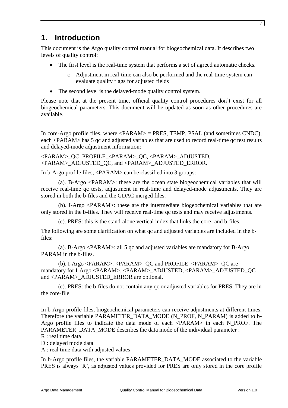# <span id="page-6-0"></span>**1. Introduction**

This document is the Argo quality control manual for biogeochemical data. It describes two levels of quality control:

- The first level is the real-time system that performs a set of agreed automatic checks.
	- o Adjustment in real-time can also be performed and the real-time system can evaluate quality flags for adjusted fields
- The second level is the delayed-mode quality control system.

Please note that at the present time, official quality control procedures don't exist for all biogeochemical parameters. This document will be updated as soon as other procedures are available.

In core-Argo profile files, where  $\langle PARAM \rangle$  = PRES, TEMP, PSAL (and sometimes CNDC), each <PARAM> has 5 qc and adjusted variables that are used to record real-time qc test results and delayed-mode adjustment information:

<PARAM>\_QC, PROFILE\_<PARAM>\_QC, <PARAM>\_ADJUSTED, <PARAM>\_ADJUSTED\_QC, and <PARAM>\_ADJUSTED\_ERROR.

In b-Argo profile files, <PARAM> can be classified into 3 groups:

(a). B-Argo <PARAM>: these are the ocean state biogeochemical variables that will receive real-time qc tests, adjustment in real-time and delayed-mode adjustments. They are stored in both the b-files and the GDAC merged files.

(b). I-Argo <PARAM>: these are the intermediate biogeochemical variables that are only stored in the b-files. They will receive real-time qc tests and may receive adjustments.

(c). PRES: this is the stand-alone vertical index that links the core- and b-files.

The following are some clarification on what qc and adjusted variables are included in the bfiles:

(a). B-Argo <PARAM>: all 5 qc and adjusted variables are mandatory for B-Argo PARAM in the b-files.

(b). I-Argo <PARAM>: <PARAM>\_QC and PROFILE\_<PARAM>\_QC are mandatory for I-Argo <PARAM>. <PARAM>\_ADJUSTED, <PARAM>\_ADJUSTED\_QC and <PARAM>\_ADJUSTED\_ERROR are optional.

(c). PRES: the b-files do not contain any qc or adjusted variables for PRES. They are in the core-file.

In b-Argo profile files, biogeochemical parameters can receive adjustments at different times. Therefore the variable PARAMETER\_DATA\_MODE (N\_PROF, N\_PARAM) is added to b-Argo profile files to indicate the data mode of each <PARAM> in each N\_PROF. The PARAMETER\_DATA\_MODE describes the data mode of the individual parameter : R : real time data

D : delayed mode data

A : real time data with adjusted values

In b-Argo profile files, the variable PARAMETER\_DATA\_MODE associated to the variable PRES is always 'R', as adjusted values provided for PRES are only stored in the core profile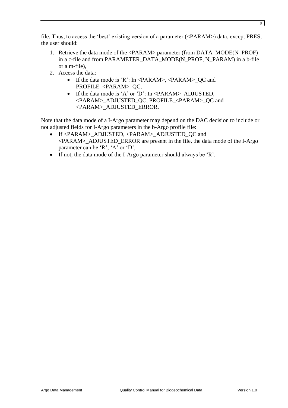file. Thus, to access the 'best' existing version of a parameter (<PARAM>) data, except PRES, the user should:

- 1. Retrieve the data mode of the <PARAM> parameter (from DATA\_MODE(N\_PROF) in a c-file and from PARAMETER\_DATA\_MODE(N\_PROF, N\_PARAM) in a b-file or a m-file),
- 2. Access the data:
	- If the data mode is 'R': In  $\langle PARAM \rangle$ ,  $\langle PARAM \rangle$  QC and PROFILE\_<PARAM>\_QC,
	- If the data mode is 'A' or 'D': In <PARAM> ADJUSTED, <PARAM>\_ADJUSTED\_QC, PROFILE\_<PARAM>\_QC and <PARAM>\_ADJUSTED\_ERROR.

Note that the data mode of a I-Argo parameter may depend on the DAC decision to include or not adjusted fields for I-Argo parameters in the b-Argo profile file:

- If <PARAM> ADJUSTED, <PARAM> ADJUSTED OC and <PARAM>\_ADJUSTED\_ERROR are present in the file, the data mode of the I-Argo parameter can be 'R', 'A' or 'D',
- If not, the data mode of the I-Argo parameter should always be 'R'.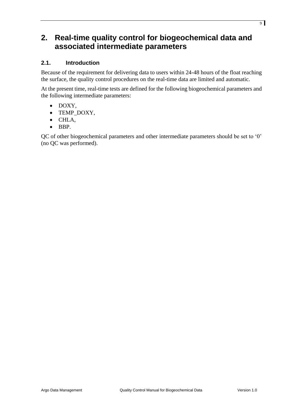# <span id="page-8-0"></span>**2. Real-time quality control for biogeochemical data and associated intermediate parameters**

# <span id="page-8-1"></span>**2.1. Introduction**

Because of the requirement for delivering data to users within 24-48 hours of the float reaching the surface, the quality control procedures on the real-time data are limited and automatic.

At the present time, real-time tests are defined for the following biogeochemical parameters and the following intermediate parameters:

- DOXY,
- TEMP DOXY,
- CHLA,
- $\bullet$  BBP.

QC of other biogeochemical parameters and other intermediate parameters should be set to '0' (no QC was performed).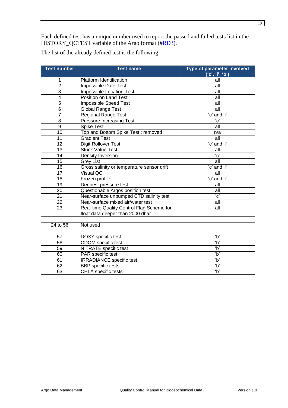Each defined test has a unique number used to report the passed and failed tests list in the HISTORY\_QCTEST variable of the Argo format ([#RD3\)](#page-4-2).

The list of the already defined test is the following.

| <b>Test number</b>      | <b>Test name</b>                                          | Type of parameter involved<br>('c', 'i', 'b') |  |
|-------------------------|-----------------------------------------------------------|-----------------------------------------------|--|
| 1                       | Platform Identification<br>all                            |                                               |  |
| $\overline{2}$          | Impossible Date Test<br>all                               |                                               |  |
| 3                       | Impossible Location Test                                  | all                                           |  |
| $\overline{\mathbf{4}}$ | Position on Land Test                                     | all                                           |  |
| 5                       | Impossible Speed Test                                     | all                                           |  |
| $\overline{6}$          | <b>Global Range Test</b>                                  | all                                           |  |
| $\overline{7}$          | <b>Regional Range Test</b>                                | 'c' and 'i'                                   |  |
| 8                       | <b>Pressure Increasing Test</b>                           | $^{\prime}$ C $^{\prime}$                     |  |
| $\overline{9}$          | <b>Spike Test</b>                                         | all                                           |  |
| 10                      | Top and Bottom Spike Test: removed                        | n/a                                           |  |
| 11                      | <b>Gradient Test</b>                                      | all                                           |  |
| 12                      | Digit Rollover Test                                       | 'c' and 'i'                                   |  |
| 13                      | <b>Stuck Value Test</b>                                   | all                                           |  |
| 14                      | Density Inversion                                         | $\overline{c'}$                               |  |
| 15                      | <b>Grey List</b>                                          | all                                           |  |
| 16                      | 'c' and 'i'<br>Gross salinity or temperature sensor drift |                                               |  |
| $\overline{17}$         | Visual QC<br>all                                          |                                               |  |
| 18                      | 'c' and 'i'<br>Frozen profile                             |                                               |  |
| $\overline{19}$         | Deepest pressure test<br>all                              |                                               |  |
| 20                      | Questionable Argos position test                          | all                                           |  |
| $\overline{21}$         | Near-surface unpumped CTD salinity test                   | $^{\prime}$ c'                                |  |
| 22                      | Near-surface mixed air/water test                         | all                                           |  |
| 23                      | Real-time Quality Control Flag Scheme for                 | all                                           |  |
|                         | float data deeper than 2000 dbar                          |                                               |  |
|                         |                                                           |                                               |  |
| 24 to 56                | Not used                                                  |                                               |  |
| 57                      | DOXY specific test                                        | ʻb'                                           |  |
| 58                      | $\overline{b'}$<br>CDOM specific test                     |                                               |  |
| 59                      | $\overline{b'}$<br>NITRATE specific test                  |                                               |  |
| 60                      | $\overline{b'}$<br>PAR specific test                      |                                               |  |
| 61                      | $\overline{b'}$<br><b>IRRADIANCE</b> specific test        |                                               |  |
| 62                      | <b>BBP</b> specific tests                                 | $\overline{b'}$                               |  |
| 63                      | <b>CHLA</b> specific tests                                | $\overline{b'}$                               |  |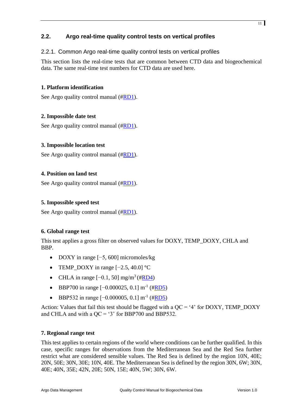# <span id="page-10-0"></span>**2.2. Argo real-time quality control tests on vertical profiles**

# <span id="page-10-1"></span>2.2.1. Common Argo real-time quality control tests on vertical profiles

This section lists the real-time tests that are common between CTD data and biogeochemical data. The same real-time test numbers for CTD data are used here.

#### **1. Platform identification**

See Argo quality control manual ([#RD1\)](#page-4-0).

# **2. Impossible date test**

See Argo quality control manual ([#RD1\)](#page-4-0).

#### **3. Impossible location test**

See Argo quality control manual ([#RD1\)](#page-4-0).

#### **4. Position on land test**

See Argo quality control manual ([#RD1\)](#page-4-0).

#### **5. Impossible speed test**

See Argo quality control manual ([#RD1\)](#page-4-0).

#### **6. Global range test**

This test applies a gross filter on observed values for DOXY, TEMP\_DOXY, CHLA and BBP.

- DOXY in range [−5, 600] micromoles/kg
- TEMP\_DOXY in range  $[-2.5, 40.0]$  °C
- CHLA in range  $[-0.1, 50]$  mg/m<sup>3</sup> ([#RD4\)](#page-15-9)
- BBP700 in range  $[-0.000025, 0.1]$  m<sup>-1</sup> ([#RD5\)](#page-4-3)
- BBP532 in range  $[-0.000005, 0.1]$  m<sup>-1</sup> ([#RD5\)](#page-4-3)

Action: Values that fail this test should be flagged with a  $OC = '4'$  for DOXY, TEMP\_DOXY and CHLA and with a  $QC = '3'$  for BBP700 and BBP532.

#### **7. Regional range test**

This test applies to certain regions of the world where conditions can be further qualified. In this case, specific ranges for observations from the Mediterranean Sea and the Red Sea further restrict what are considered sensible values. The Red Sea is defined by the region 10N, 40E; 20N, 50E; 30N, 30E; 10N, 40E. The Mediterranean Sea is defined by the region 30N, 6W; 30N, 40E; 40N, 35E; 42N, 20E; 50N, 15E; 40N, 5W; 30N, 6W.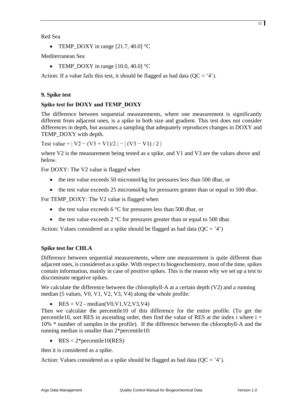• TEMP DOXY in range  $[21.7, 40.0]$  °C

Mediterranean Sea

• TEMP\_DOXY in range  $[10.0, 40.0]$  °C

Action: If a value fails this test, it should be flagged as bad data ( $QC = '4'$ ).

# **9. Spike test**

# **Spike test for DOXY and TEMP\_DOXY**

The difference between sequential measurements, where one measurement is significantly different from adjacent ones, is a spike in both size and gradient. This test does not consider differences in depth, but assumes a sampling that adequately reproduces changes in DOXY and TEMP\_DOXY with depth.

Test value =  $|V2 - (V3 + V1)/2| - |(V3 - V1)/2|$ 

where V2 is the measurement being tested as a spike, and V1 and V3 are the values above and below.

For DOXY: The V2 value is flagged when

- the test value exceeds 50 micromol/kg for pressures less than 500 dbar, or
- the test value exceeds 25 micromol/kg for pressures greater than or equal to 500 dbar.

For TEMP\_DOXY: The V2 value is flagged when

- the test value exceeds 6  $\degree$ C for pressures less than 500 dbar, or
- the test value exceeds  $2 \degree C$  for pressures greater than or equal to 500 dbar.

Action: Values considered as a spike should be flagged as bad data ( $QC = '4'$ )

# **Spike test for CHLA**

Difference between sequential measurements, where one measurement is quite different than adjacent ones, is considered as a spike. With respect to biogeochemistry, most of the time, spikes contain information, mainly in case of positive spikes. This is the reason why we set up a test to discriminate negative spikes.

We calculate the difference between the chlorophyll-A at a certain depth (V2) and a running median (5 values, V0, V1, V2, V3, V4) along the whole profile:

•  $RES = V2$  - median(V0,V1,V2,V3,V4)

Then we calculate the percentile10 of this difference for the entire profile. (To get the percentile10, sort RES in ascending order, then find the value of RES at the index i where  $i =$ 10% \* number of samples in the profile). If the difference between the chlorophyll-A and the running median is smaller than 2\*percentile10:

• RES  $< 2$ \*percentile10(RES)

then it is considered as a spike.

Action: Values considered as a spike should be flagged as bad data ( $QC = '4'$ ).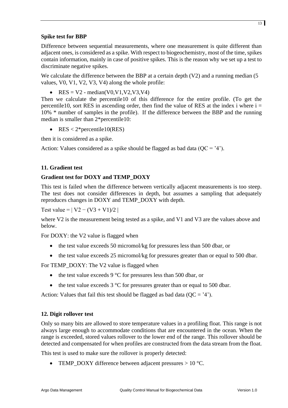# **Spike test for BBP**

Difference between sequential measurements, where one measurement is quite different than adjacent ones, is considered as a spike. With respect to biogeochemistry, most of the time, spikes contain information, mainly in case of positive spikes. This is the reason why we set up a test to discriminate negative spikes.

We calculate the difference between the BBP at a certain depth (V2) and a running median (5) values, V0, V1, V2, V3, V4) along the whole profile:

• RES =  $V2$  - median(V0,V1,V2,V3,V4)

Then we calculate the percentile10 of this difference for the entire profile. (To get the percentile10, sort RES in ascending order, then find the value of RES at the index i where  $i =$ 10% \* number of samples in the profile). If the difference between the BBP and the running median is smaller than 2\*percentile10:

• RES <  $2$ \*percentile10(RES)

then it is considered as a spike.

Action: Values considered as a spike should be flagged as bad data ( $QC = '4'$ ).

#### **11. Gradient test**

# **Gradient test for DOXY and TEMP\_DOXY**

This test is failed when the difference between vertically adjacent measurements is too steep. The test does not consider differences in depth, but assumes a sampling that adequately reproduces changes in DOXY and TEMP\_DOXY with depth.

Test value =  $|V2 - (V3 + V1)/2|$ 

where V2 is the measurement being tested as a spike, and V1 and V3 are the values above and below.

For DOXY: the V2 value is flagged when

- the test value exceeds 50 micromol/kg for pressures less than 500 dbar, or
- the test value exceeds 25 micromol/kg for pressures greater than or equal to 500 dbar.

For TEMP\_DOXY: The V2 value is flagged when

- the test value exceeds 9  $\degree$ C for pressures less than 500 dbar, or
- the test value exceeds  $3^{\circ}$ C for pressures greater than or equal to 500 dbar.

Action: Values that fail this test should be flagged as bad data  $(OC = '4')$ .

#### **12. Digit rollover test**

Only so many bits are allowed to store temperature values in a profiling float. This range is not always large enough to accommodate conditions that are encountered in the ocean. When the range is exceeded, stored values rollover to the lower end of the range. This rollover should be detected and compensated for when profiles are constructed from the data stream from the float.

This test is used to make sure the rollover is properly detected:

• TEMP DOXY difference between adjacent pressures  $> 10$  °C.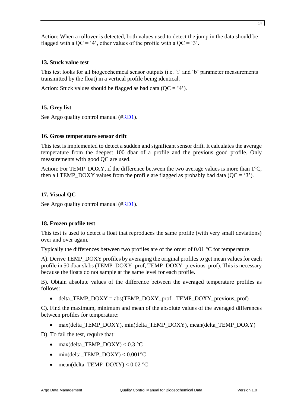Action: When a rollover is detected, both values used to detect the jump in the data should be flagged with a QC = '4', other values of the profile with a QC = '3'.

#### **13. Stuck value test**

This test looks for all biogeochemical sensor outputs (i.e. 'i' and 'b' parameter measurements transmitted by the float) in a vertical profile being identical.

Action: Stuck values should be flagged as bad data ( $OC = '4'$ ).

# **15. Grey list**

See Argo quality control manual ([#RD1\)](#page-4-0).

#### **16. Gross temperature sensor drift**

This test is implemented to detect a sudden and significant sensor drift. It calculates the average temperature from the deepest 100 dbar of a profile and the previous good profile. Only measurements with good QC are used.

Action: For TEMP\_DOXY, if the difference between the two average values is more than  $1^{\circ}C$ , then all TEMP\_DOXY values from the profile are flagged as probably bad data ( $QC = '3'$ ).

#### **17. Visual QC**

See Argo quality control manual ([#RD1\)](#page-4-0).

#### **18. Frozen profile test**

This test is used to detect a float that reproduces the same profile (with very small deviations) over and over again.

Typically the differences between two profiles are of the order of 0.01 °C for temperature.

A). Derive TEMP\_DOXY profiles by averaging the original profiles to get mean values for each profile in 50 dbar slabs (TEMP\_DOXY\_prof, TEMP\_DOXY\_previous\_prof). This is necessary because the floats do not sample at the same level for each profile.

B). Obtain absolute values of the difference between the averaged temperature profiles as follows:

 $\bullet$  delta\_TEMP\_DOXY = abs(TEMP\_DOXY\_prof - TEMP\_DOXY\_previous\_prof)

C). Find the maximum, minimum and mean of the absolute values of the averaged differences between profiles for temperature:

• max(delta\_TEMP\_DOXY), min(delta\_TEMP\_DOXY), mean(delta\_TEMP\_DOXY)

D). To fail the test, require that:

- max(delta\_TEMP\_DOXY) <  $0.3$  °C
- $\bullet$  min(delta TEMP DOXY) < 0.001°C
- $\bullet$  mean(delta\_TEMP\_DOXY) < 0.02 °C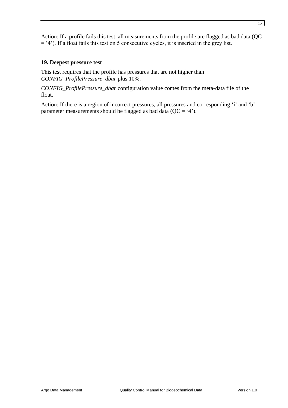Action: If a profile fails this test, all measurements from the profile are flagged as bad data (QC  $=$  '4'). If a float fails this test on 5 consecutive cycles, it is inserted in the grey list.

#### **19. Deepest pressure test**

This test requires that the profile has pressures that are not higher than *CONFIG\_ProfilePressure\_dbar* plus 10%.

*CONFIG\_ProfilePressure\_dbar* configuration value comes from the meta-data file of the float.

Action: If there is a region of incorrect pressures, all pressures and corresponding 'i' and 'b' parameter measurements should be flagged as bad data  $(QC = '4')$ .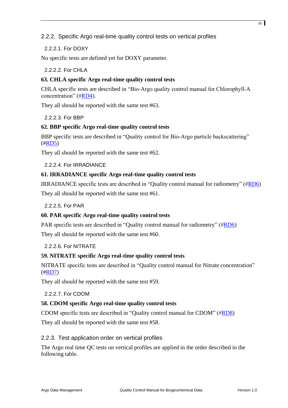# <span id="page-15-0"></span>2.2.2. Specific Argo real-time quality control tests on vertical profiles

<span id="page-15-1"></span>2.2.2.1. For DOXY

<span id="page-15-2"></span>No specific tests are defined yet for DOXY parameter.

2.2.2.2. For CHLA

#### **63. CHLA specific Argo real-time quality control tests**

<span id="page-15-9"></span>CHLA specific tests are described in "Bio-Argo quality control manual for Chlorophyll-A concentration" ([#RD4\)](#page-15-9).

<span id="page-15-3"></span>They all should be reported with the same test #63.

2.2.2.3. For BBP

#### **62. BBP specific Argo real-time quality control tests**

BBP specific tests are described in "Quality control for Bio-Argo particle backscattering" ([#RD5\)](#page-4-3)

<span id="page-15-4"></span>They all should be reported with the same test #62.

#### 2.2.2.4. For IRRADIANCE

#### **61. IRRADIANCE specific Argo real-time quality control tests**

IRRADIANCE specific tests are described in "Quality control manual for radiometry" ([#RD6\)](#page-4-4) They all should be reported with the same test #61.

#### <span id="page-15-5"></span>2.2.2.5. For PAR

#### **60. PAR specific Argo real-time quality control tests**

PAR specific tests are described in "Quality control manual for radiometry" ([#RD6\)](#page-4-4) They all should be reported with the same test #60.

#### <span id="page-15-6"></span>2.2.2.6. For NITRATE

#### **59. NITRATE specific Argo real-time quality control tests**

NITRATE specific tests are described in "Quality control manual for Nitrate concentration"  $(\text{\#RD7})$ 

<span id="page-15-7"></span>They all should be reported with the same test #59.

#### <span id="page-15-10"></span>2.2.2.7. For CDOM

#### **58. CDOM specific Argo real-time quality control tests**

CDOM specific tests are described in "Quality control manual for CDOM" ([#RD8\)](#page-15-10)

<span id="page-15-8"></span>They all should be reported with the same test #58.

#### 2.2.3. Test application order on vertical profiles

The Argo real time QC tests on vertical profiles are applied in the order described in the following table.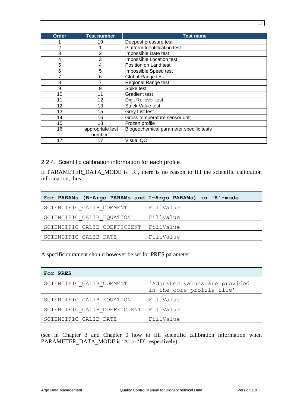| <b>Order</b>   | <b>Test number</b> | <b>Test name</b>                        |
|----------------|--------------------|-----------------------------------------|
|                | 19                 | Deepest pressure test                   |
| $\overline{2}$ |                    | Platform Identification test            |
| 3              | $\overline{2}$     | Impossible Date test                    |
| 4              | 3                  | Impossible Location test                |
| 5              | 4                  | Position on Land test                   |
| 6              | 5                  | Impossible Speed test                   |
| 7              | 6                  | Global Range test                       |
| 8              |                    | <b>Regional Range test</b>              |
| 9              | 9                  | Spike test                              |
| 10             | 11                 | <b>Gradient test</b>                    |
| 11             | 12                 | Digit Rollover test                     |
| 12             | 13                 | <b>Stuck Value test</b>                 |
| 13             | 15                 | Grey List test                          |
| 14             | 16                 | Gross temperature sensor drift          |
| 15             | 18                 | Frozen profile                          |
| 16             | "appropriate test  | Biogeochemical parameter specific tests |
|                | number"            |                                         |
| 17             | 17                 | Visual QC                               |

<span id="page-16-0"></span>2.2.4. Scientific calibration information for each profile

If PARAMETER\_DATA\_MODE is 'R', there is no reason to fill the scientific calibration information, thus:

| For PARAMs (B-Argo PARAMs and I-Argo PARAMs) in 'R'-mode |           |
|----------------------------------------------------------|-----------|
| SCIENTIFIC CALIB COMMENT                                 | FillValue |
| SCIENTIFIC CALIB EQUATION                                | FillValue |
| SCIENTIFIC CALIB COEFFICIENT                             | FillValue |
| SCIENTIFIC CALIB DATE                                    | FillValue |

A specific comment should however be set for PRES parameter

| For PRES                     |                                                            |
|------------------------------|------------------------------------------------------------|
| SCIENTIFIC CALIB COMMENT     | 'Adjusted values are provided<br>in the core profile file' |
| SCIENTIFIC CALIB EQUATION    | FillValue                                                  |
| SCIENTIFIC CALIB COEFFICIENT | FillValue                                                  |
| SCIENTIFIC CALIB DATE        | FillValue                                                  |

(see in Chapter [3](#page-23-0) and Chapter [0](#page-24-0) how to fill scientific calibration information when PARAMETER DATA MODE is 'A' or 'D' respectively).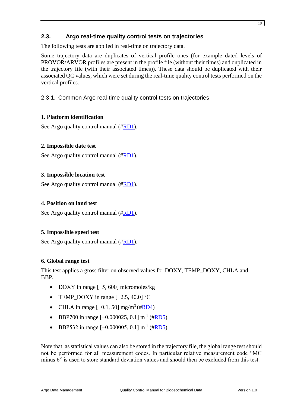# <span id="page-17-0"></span>**2.3. Argo real-time quality control tests on trajectories**

The following tests are applied in real-time on trajectory data.

Some trajectory data are duplicates of vertical profile ones (for example dated levels of PROVOR/ARVOR profiles are present in the profile file (without their times) and duplicated in the trajectory file (with their associated times)). These data should be duplicated with their associated QC values, which were set during the real-time quality control tests performed on the vertical profiles.

# <span id="page-17-1"></span>2.3.1. Common Argo real-time quality control tests on trajectories

# **1. Platform identification**

See Argo quality control manual ([#RD1\)](#page-4-0).

#### **2. Impossible date test**

See Argo quality control manual ([#RD1\)](#page-4-0).

#### **3. Impossible location test**

See Argo quality control manual ([#RD1\)](#page-4-0).

#### **4. Position on land test**

See Argo quality control manual ([#RD1\)](#page-4-0).

#### **5. Impossible speed test**

See Argo quality control manual ([#RD1\)](#page-4-0).

#### **6. Global range test**

This test applies a gross filter on observed values for DOXY, TEMP\_DOXY, CHLA and BBP.

- DOXY in range  $[-5, 600]$  micromoles/kg
- TEMP\_DOXY in range  $[-2.5, 40.0]$  °C
- CHLA in range  $[-0.1, 50]$  mg/m<sup>3</sup> ([#RD4\)](#page-15-9)
- BBP700 in range [-0.000025, 0.1] m<sup>-1</sup> ([#RD5\)](#page-4-3)
- BBP532 in range  $[-0.000005, 0.1]$  m<sup>-1</sup> ([#RD5\)](#page-4-3)

Note that, as statistical values can also be stored in the trajectory file, the global range test should not be performed for all measurement codes. In particular relative measurement code "MC minus 6" is used to store standard deviation values and should then be excluded from this test.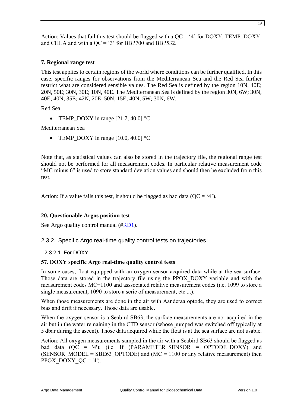Action: Values that fail this test should be flagged with a QC = '4' for DOXY, TEMP\_DOXY and CHLA and with a  $QC = '3'$  for BBP700 and BBP532.

#### **7. Regional range test**

This test applies to certain regions of the world where conditions can be further qualified. In this case, specific ranges for observations from the Mediterranean Sea and the Red Sea further restrict what are considered sensible values. The Red Sea is defined by the region 10N, 40E; 20N, 50E; 30N, 30E; 10N, 40E. The Mediterranean Sea is defined by the region 30N, 6W; 30N, 40E; 40N, 35E; 42N, 20E; 50N, 15E; 40N, 5W; 30N, 6W.

Red Sea

• TEMP\_DOXY in range  $[21.7, 40.0]$  °C

Mediterranean Sea

• TEMP\_DOXY in range  $[10.0, 40.0]$  °C

Note that, as statistical values can also be stored in the trajectory file, the regional range test should not be performed for all measurement codes. In particular relative measurement code "MC minus 6" is used to store standard deviation values and should then be excluded from this test.

Action: If a value fails this test, it should be flagged as bad data ( $QC = '4'$ ).

#### **20. Questionable Argos position test**

<span id="page-18-0"></span>See Argo quality control manual ([#RD1\)](#page-4-0).

#### 2.3.2. Specific Argo real-time quality control tests on trajectories

<span id="page-18-1"></span>2.3.2.1. For DOXY

#### **57. DOXY specific Argo real-time quality control tests**

In some cases, float equipped with an oxygen sensor acquired data while at the sea surface. Those data are stored in the trajectory file using the PPOX\_DOXY variable and with the measurement codes MC=1100 and asssociated relative measurement codes (i.e. 1099 to store a single measurement, 1090 to store a serie of measurement, etc ...).

When those measurements are done in the air with Aanderaa optode, they are used to correct bias and drift if necessary. Those data are usable.

When the oxygen sensor is a Seabird SB63, the surface measurements are not acquired in the air but in the water remaining in the CTD sensor (whose pumped was switched off typically at 5 dbar during the ascent). Those data acquired while the float is at the sea surface are not usable.

Action: All oxygen measurements sampled in the air with a Seabird SB63 should be flagged as bad data  $(QC = '4')$ ; (i.e. If (PARAMETER SENSOR = OPTODE DOXY) and (SENSOR MODEL = SBE63 OPTODE) and (MC = 1100 or any relative measurement) then PPOX DOXY  $QC = '4'$ ).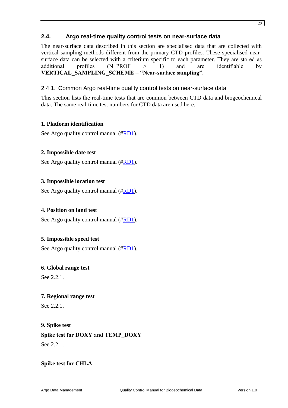# <span id="page-19-0"></span>**2.4. Argo real-time quality control tests on near-surface data**

The near-surface data described in this section are specialised data that are collected with vertical sampling methods different from the primary CTD profiles. These specialised nearsurface data can be selected with a criterium specific to each parameter. They are stored as additional profiles (N\_PROF > 1) and are identifiable by **VERTICAL\_SAMPLING\_SCHEME = "Near-surface sampling"**.

#### <span id="page-19-1"></span>2.4.1. Common Argo real-time quality control tests on near-surface data

This section lists the real-time tests that are common between CTD data and biogeochemical data. The same real-time test numbers for CTD data are used here.

#### **1. Platform identification**

See Argo quality control manual ([#RD1\)](#page-4-0).

#### **2. Impossible date test**

See Argo quality control manual ([#RD1\)](#page-4-0).

#### **3. Impossible location test**

See Argo quality control manual ([#RD1\)](#page-4-0).

#### **4. Position on land test**

See Argo quality control manual ([#RD1\)](#page-4-0).

#### **5. Impossible speed test**

See Argo quality control manual ([#RD1\)](#page-4-0).

#### **6. Global range test**

See [2.2.1.](#page-10-1)

#### **7. Regional range test**

See [2.2.1.](#page-10-1)

#### **9. Spike test**

**Spike test for DOXY and TEMP\_DOXY** See [2.2.1.](#page-10-1)

#### **Spike test for CHLA**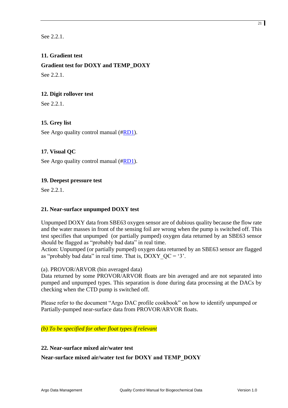See [2.2.1.](#page-10-1)

# **11. Gradient test**

**Gradient test for DOXY and TEMP\_DOXY**

See 2.2.1

#### **12. Digit rollover test**

See [2.2.1.](#page-10-1)

# **15. Grey list**

See Argo quality control manual ([#RD1\)](#page-4-0).

#### **17. Visual QC**

See Argo quality control manual ([#RD1\)](#page-4-0).

#### **19. Deepest pressure test**

See [2.2.1.](#page-10-1)

#### **21. Near-surface unpumped DOXY test**

Unpumped DOXY data from SBE63 oxygen sensor are of dubious quality because the flow rate and the water masses in front of the sensing foil are wrong when the pump is switched off. This test specifies that unpumped (or partially pumped) oxygen data returned by an SBE63 sensor should be flagged as "probably bad data" in real time.

Action: Unpumped (or partially pumped) oxygen data returned by an SBE63 sensor are flagged as "probably bad data" in real time. That is,  $DOXY$   $QC = '3'$ .

#### (a). PROVOR/ARVOR (bin averaged data)

Data returned by some PROVOR/ARVOR floats are bin averaged and are not separated into pumped and unpumped types. This separation is done during data processing at the DACs by checking when the CTD pump is switched off.

Please refer to the document "Argo DAC profile cookbook" on how to identify unpumped or Partially-pumped near-surface data from PROVOR/ARVOR floats.

# *(b) To be specified for other float types if relevant*

#### **22. Near-surface mixed air/water test**

#### **Near-surface mixed air/water test for DOXY and TEMP\_DOXY**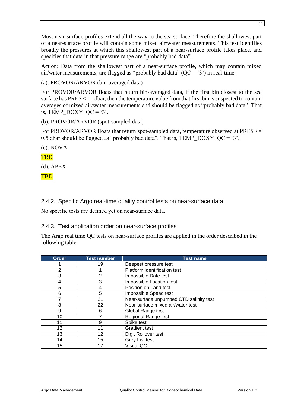Most near-surface profiles extend all the way to the sea surface. Therefore the shallowest part of a near-surface profile will contain some mixed air/water measurements. This test identifies broadly the pressures at which this shallowest part of a near-surface profile takes place, and specifies that data in that pressure range are "probably bad data".

Action: Data from the shallowest part of a near-surface profile, which may contain mixed air/water measurements, are flagged as "probably bad data"  $(QC = '3')$  in real-time.

(a). PROVOR/ARVOR (bin-averaged data)

For PROVOR/ARVOR floats that return bin-averaged data, if the first bin closest to the sea surface has  $PRES \leq 1$  dbar, then the temperature value from that first bin is suspected to contain averages of mixed air/water measurements and should be flagged as "probably bad data". That is, TEMP\_DOXY  $QC = '3'.$ 

(b). PROVOR/ARVOR (spot-sampled data)

For PROVOR/ARVOR floats that return spot-sampled data, temperature observed at PRES  $\le$ 0.5 dbar should be flagged as "probably bad data". That is, TEMP\_DOXY  $QC = '3'$ .

(c). NOVA

**TBD** 

(d). APEX

TBD

<span id="page-21-0"></span>2.4.2. Specific Argo real-time quality control tests on near-surface data

<span id="page-21-1"></span>No specific tests are defined yet on near-surface data.

2.4.3. Test application order on near-surface profiles

The Argo real time QC tests on near-surface profiles are applied in the order described in the following table.

| <b>Order</b>   | <b>Test number</b> | <b>Test name</b>                        |
|----------------|--------------------|-----------------------------------------|
|                | 19                 | Deepest pressure test                   |
| $\overline{2}$ |                    | Platform Identification test            |
| 3              | 2                  | Impossible Date test                    |
| 4              | 3                  | Impossible Location test                |
| 5              | 4                  | Position on Land test                   |
| 6              | 5                  | Impossible Speed test                   |
|                | 21                 | Near-surface unpumped CTD salinity test |
| 8              | 22                 | Near-surface mixed air/water test       |
| 9              | 6                  | Global Range test                       |
| 10             |                    | <b>Regional Range test</b>              |
| 11             | 9                  | Spike test                              |
| 12             | 11                 | <b>Gradient test</b>                    |
| 13             | 12                 | Digit Rollover test                     |
| 14             | 15                 | Grey List test                          |
| 15             | 17                 | Visual QC                               |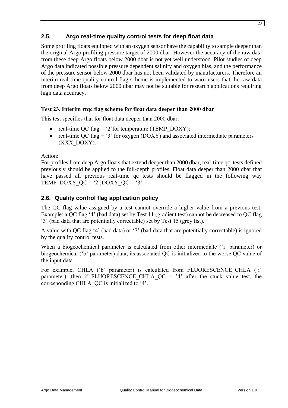# <span id="page-22-0"></span>**2.5. Argo real-time quality control tests for deep float data**

Some profiling floats equipped with an oxygen sensor have the capability to sample deeper than the original Argo profiling pressure target of 2000 dbar. However the accuracy of the raw data from these deep Argo floats below 2000 dbar is not yet well understood. Pilot studies of deep Argo data indicated possible pressure dependent salinity and oxygen bias, and the performance of the pressure sensor below 2000 dbar has not been validated by manufacturers. Therefore an interim real-time quality control flag scheme is implemented to warn users that the raw data from deep Argo floats below 2000 dbar may not be suitable for research applications requiring high data accuracy.

# **Test 23. Interim rtqc flag scheme for float data deeper than 2000 dbar**

This test specifies that for float data deeper than 2000 dbar:

- real-time QC flag = '2' for temperature (TEMP\_DOXY);
- real-time OC flag  $=$  '3' for oxygen (DOXY) and associated intermediate parameters (XXX\_DOXY).

Action:

For profiles from deep Argo floats that extend deeper than 2000 dbar, real-time qc, tests defined previously should be applied to the full-depth profiles. Float data deeper than 2000 dbar that have passed all previous real-time qc tests should be flagged in the following way TEMP\_DOXY\_QC = '2',DOXY\_QC = '3'.

# <span id="page-22-1"></span>**2.6. Quality control flag application policy**

The QC flag value assigned by a test cannot override a higher value from a previous test. Example: a QC flag '4' (bad data) set by Test 11 (gradient test) cannot be decreased to QC flag '3' (bad data that are potentially correctable) set by Test 15 (grey list).

A value with QC flag '4' (bad data) or '3' (bad data that are potentially correctable) is ignored by the quality control tests.

When a biogeochemical parameter is calculated from other intermediate ('i' parameter) or biogeochemical ('b' parameter) data, its associated QC is initialized to the worse QC value of the input data.

For example, CHLA ('b' parameter) is calculated from FLUORESCENCE CHLA ('i' parameter), then if FLUORESCENCE CHLA  $QC = '4'$  after the stuck value test, the corresponding CHLA\_QC is initialized to '4'.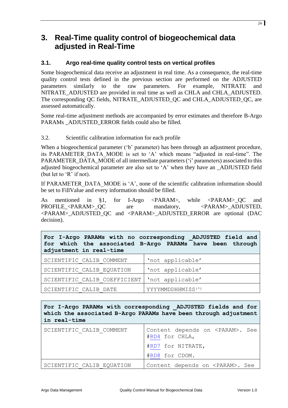# <span id="page-23-0"></span>**3. Real-Time quality control of biogeochemical data adjusted in Real-Time**

# <span id="page-23-1"></span>**3.1. Argo real-time quality control tests on vertical profiles**

Some biogeochemical data receive an adjustment in real time. As a consequence, the real-time quality control tests defined in the previous section are performed on the ADJUSTED parameters similarly to the raw parameters. For example, NITRATE and NITRATE\_ADJUSTED are provided in real time as well as CHLA and CHLA\_ADJUSTED. The corresponding QC fields, NITRATE\_ADJUSTED\_QC and CHLA\_ADJUSTED\_QC, are assessed automatically.

Some real-time adjustment methods are accompanied by error estimates and therefore B-Argo PARAMs ADJUSTED ERROR fields could also be filled.

#### <span id="page-23-2"></span>3.2. Scientific calibration information for each profile

When a biogeochemical parameter ('b' parameter) has been through an adjustment procedure, its PARAMETER DATA MODE is set to 'A' which means "adjusted in real-time". The PARAMETER\_DATA\_MODE of all intermediate parameters ('i' parameters) associated to this adjusted biogeochemical parameter are also set to 'A' when they have an \_ADJUSTED field (but let to 'R' if not).

If PARAMETER\_DATA\_MODE is 'A', none of the scientific calibration information should be set to FillValue and every information should be filled.

As mentioned in [§1,](#page-6-0) for I-Argo <PARAM>, while <PARAM>\_QC and PROFILE <PARAM> OC are mandatory,  $\leq$ PARAM> ADJUSTED, <PARAM>\_ADJUSTED\_QC and <PARAM>\_ADJUSTED\_ERROR are optional (DAC decision).

| For I-Argo PARAMs with no corresponding ADJUSTED field and<br>for which the associated B-Argo PARAMs have been through<br>adjustment in real-time |                               |  |
|---------------------------------------------------------------------------------------------------------------------------------------------------|-------------------------------|--|
| SCIENTIFIC CALIB COMMENT                                                                                                                          | 'not applicable'              |  |
| SCIENTIFIC CALIB EQUATION                                                                                                                         | 'not applicable'              |  |
| SCIENTIFIC CALIB COEFFICIENT                                                                                                                      | 'not applicable'              |  |
| SCIENTIFIC CALIB DATE                                                                                                                             | YYYYMMDDHHMISS <sup>(*)</sup> |  |

**For I-Argo PARAMs with corresponding \_ADJUSTED fields and for which the associated B-Argo PARAMs have been through adjustment in real-time**

| SCIENTIFIC CALIB COMMENT  | Content depends on <param/> . See<br>#RD4 for CHLA, |
|---------------------------|-----------------------------------------------------|
|                           | #RD7 for NITRATE,                                   |
|                           | #RD8 for CDOM.                                      |
| SCIENTIFIC CALIB EQUATION | Content depends on <param/> . See                   |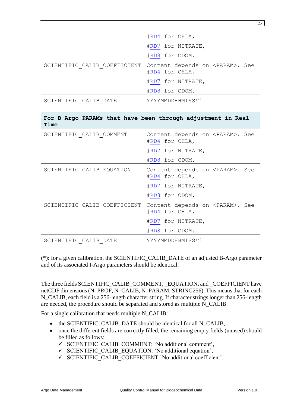|                              | #RD4 for CHLA,                                      |
|------------------------------|-----------------------------------------------------|
|                              | #RD7 for NITRATE,                                   |
|                              | #RD8 for CDOM.                                      |
| SCIENTIFIC CALIB COEFFICIENT | Content depends on <param/> . See<br>#RD4 for CHLA, |
|                              | #RD7 for NITRATE,                                   |
|                              | #RD8 for CDOM.                                      |
| SCIENTIFIC CALIB DATE        | YYYYMMDDHHMISS <sup>(*)</sup>                       |

| Time                         | For B-Argo PARAMs that have been through adjustment in Real- |
|------------------------------|--------------------------------------------------------------|
| SCIENTIFIC CALIB COMMENT     | Content depends on <param/> . See<br>#RD4 for CHLA,          |
|                              | #RD7 for NITRATE,                                            |
|                              | #RD8 for CDOM.                                               |
| SCIENTIFIC CALIB EQUATION    | Content depends on <param/> . See<br>#RD4 for CHLA,          |
|                              | #RD7 for NITRATE,                                            |
|                              | #RD8 for CDOM.                                               |
| SCIENTIFIC CALIB COEFFICIENT | Content depends on <param/> . See<br>#RD4 for CHLA,          |
|                              | #RD7 for NITRATE,                                            |
|                              | #RD8 for CDOM.                                               |
| SCIENTIFIC CALIB DATE        | YYYYMMDDHHMISS <sup>(*)</sup>                                |

(\*): for a given calibration, the SCIENTIFIC\_CALIB\_DATE of an adjusted B-Argo parameter and of its associated I-Argo parameters should be identical.

The three fields SCIENTIFIC\_CALIB\_COMMENT, \_EQUATION, and \_COEFFICIENT have netCDF dimensions (N\_PROF, N\_CALIB, N\_PARAM, STRING256). This means that for each N\_CALIB, each field is a 256-length character string. If character strings longer than 256-length are needed, the procedure should be separated and stored as multiple N\_CALIB.

For a single calibration that needs multiple N\_CALIB:

- the SCIENTIFIC\_CALIB\_DATE should be identical for all N\_CALIB,
- <span id="page-24-0"></span>• once the different fields are correctly filled, the remaining empty fields (unused) should be filled as follows:
	- SCIENTIFIC\_CALIB\_COMMENT: 'No additional comment',
	- $\checkmark$  SCIENTIFIC\_CALIB\_EQUATION: 'No additional equation',
	- $\checkmark$  SCIENTIFIC CALIB COEFFICIENT:'No additional coefficient'.

25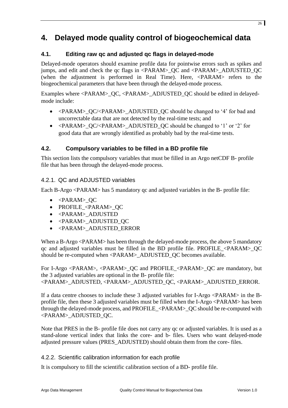# <span id="page-25-0"></span>**4. Delayed mode quality control of biogeochemical data**

# <span id="page-25-1"></span>**4.1. Editing raw qc and adjusted qc flags in delayed-mode**

Delayed-mode operators should examine profile data for pointwise errors such as spikes and jumps, and edit and check the qc flags in <PARAM>\_QC and <PARAM>\_ADJUSTED\_QC (when the adjustment is performed in Real Time). Here, <PARAM> refers to the biogeochemical parameters that have been through the delayed-mode process.

Examples where <PARAM>\_QC, <PARAM>\_ADJUSTED\_QC should be edited in delayedmode include:

- $\bullet$  <PARAM> OC/<PARAM> ADJUSTED OC should be changed to '4' for bad and uncorrectable data that are not detected by the real-time tests; and
- $\bullet$  <PARAM> OC/<PARAM> ADJUSTED OC should be changed to '1' or '2' for good data that are wrongly identified as probably bad by the real-time tests.

# <span id="page-25-2"></span>**4.2. Compulsory variables to be filled in a BD profile file**

This section lists the compulsory variables that must be filled in an Argo netCDF B- profile file that has been through the delayed-mode process.

# <span id="page-25-3"></span>4.2.1. QC and ADJUSTED variables

Each B-Argo <PARAM> has 5 mandatory qc and adjusted variables in the B- profile file:

- <PARAM>\_QC
- PROFILE\_<PARAM>\_QC
- <PARAM>\_ADJUSTED
- <PARAM> ADJUSTED OC
- <PARAM> ADJUSTED ERROR

When a B-Argo <PARAM> has been through the delayed-mode process, the above 5 mandatory  $q$  and adjusted variables must be filled in the BD profile file. PROFILE <PARAM> OC should be re-computed when <PARAM>\_ADJUSTED\_QC becomes available.

For I-Argo <PARAM>, <PARAM> OC and PROFILE <PARAM> OC are mandatory, but the 3 adjusted variables are optional in the B- profile file: <PARAM>\_ADJUSTED, <PARAM>\_ADJUSTED\_QC, <PARAM>\_ADJUSTED\_ERROR.

If a data centre chooses to include these 3 adjusted variables for I-Argo <PARAM> in the Bprofile file, then these 3 adjusted variables must be filled when the I-Argo <PARAM> has been through the delayed-mode process, and PROFILE\_<PARAM>\_QC should be re-computed with <PARAM>\_ADJUSTED\_QC.

Note that PRES in the B- profile file does not carry any qc or adjusted variables. It is used as a stand-alone vertical index that links the core- and b- files. Users who want delayed-mode adjusted pressure values (PRES\_ADJUSTED) should obtain them from the core- files.

#### <span id="page-25-4"></span>4.2.2. Scientific calibration information for each profile

It is compulsory to fill the scientific calibration section of a BD- profile file.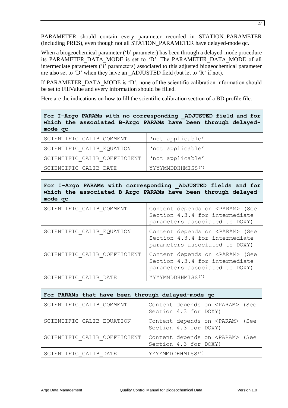PARAMETER should contain every parameter recorded in STATION\_PARAMETER (including PRES), even though not all STATION\_PARAMETER have delayed-mode qc.

When a biogeochemical parameter ('b' parameter) has been through a delayed-mode procedure its PARAMETER\_DATA\_MODE is set to 'D'. The PARAMETER\_DATA\_MODE of all intermediate parameters ('i' parameters) associated to this adjusted biogeochemical parameter are also set to 'D' when they have an \_ADJUSTED field (but let to 'R' if not).

If PARAMETER DATA MODE is 'D', none of the scientific calibration information should be set to FillValue and every information should be filled.

Here are the indications on how to fill the scientific calibration section of a BD profile file.

| For I-Argo PARAMs with no corresponding ADJUSTED field and for |  |  |  |  |
|----------------------------------------------------------------|--|--|--|--|
| which the associated B-Argo PARAMs have been through delayed-  |  |  |  |  |
| mode qc                                                        |  |  |  |  |

| SCIENTIFIC CALIB COMMENT     | 'not applicable'              |
|------------------------------|-------------------------------|
| SCIENTIFIC CALIB EQUATION    | 'not applicable'              |
| SCIENTIFIC CALIB COEFFICIENT | 'not applicable'              |
| SCIENTIFIC CALIB DATE        | YYYYMMDDHHMISS <sup>(*)</sup> |

**For I-Argo PARAMs with corresponding \_ADJUSTED fields and for which the associated B-Argo PARAMs have been through delayedmode qc**

| SCIENTIFIC CALIB COMMENT     | Content depends on <param/> (See<br>Section 4.3.4 for intermediate<br>parameters associated to DOXY) |
|------------------------------|------------------------------------------------------------------------------------------------------|
| SCIENTIFIC CALIB EQUATION    | Content depends on <param/> (See<br>Section 4.3.4 for intermediate<br>parameters associated to DOXY) |
| SCIENTIFIC CALIB COEFFICIENT | Content depends on <param/> (See<br>Section 4.3.4 for intermediate<br>parameters associated to DOXY) |
| SCIENTIFIC CALIB DATE        | YYYYMMDDHHMISS <sup>(*)</sup>                                                                        |

| For PARAMs that have been through delayed-mode qc |                                                           |
|---------------------------------------------------|-----------------------------------------------------------|
| SCIENTIFIC CALIB COMMENT                          | Content depends on <param/> (See<br>Section 4.3 for DOXY) |
| SCIENTIFIC CALIB EQUATION                         | Content depends on <param/> (See<br>Section 4.3 for DOXY) |
| SCIENTIFIC CALIB COEFFICIENT                      | Content depends on <param/> (See<br>Section 4.3 for DOXY) |
| SCIENTIFIC CALIB DATE                             | YYYYMMDDHHMISS <sup>(*)</sup>                             |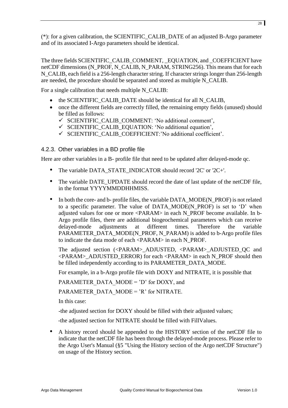(\*): for a given calibration, the SCIENTIFIC\_CALIB\_DATE of an adjusted B-Argo parameter and of its associated I-Argo parameters should be identical.

The three fields SCIENTIFIC\_CALIB\_COMMENT, \_EQUATION, and \_COEFFICIENT have netCDF dimensions (N\_PROF, N\_CALIB, N\_PARAM, STRING256). This means that for each N\_CALIB, each field is a 256-length character string. If character strings longer than 256-length are needed, the procedure should be separated and stored as multiple N\_CALIB.

For a single calibration that needs multiple N\_CALIB:

- the SCIENTIFIC CALIB DATE should be identical for all N\_CALIB,
- once the different fields are correctly filled, the remaining empty fields (unused) should be filled as follows:
	- $\checkmark$  SCIENTIFIC CALIB COMMENT: 'No additional comment',
	- $\checkmark$  SCIENTIFIC\_CALIB\_EQUATION: 'No additional equation',
	- $\checkmark$  SCIENTIFIC\_CALIB\_COEFFICIENT:'No additional coefficient'.

# <span id="page-27-0"></span>4.2.3. Other variables in a BD profile file

Here are other variables in a B- profile file that need to be updated after delayed-mode qc.

- The variable DATA\_STATE\_INDICATOR should record '2C' or '2C+'.
- The variable DATE\_UPDATE should record the date of last update of the netCDF file, in the format YYYYMMDDHHMISS.
- In both the core- and b- profile files, the variable DATA\_MODE(N\_PROF) is not related to a specific parameter. The value of DATA\_MODE(N\_PROF) is set to 'D' when adjusted values for one or more <PARAM> in each N\_PROF become available. In b-Argo profile files, there are additional biogeochemical parameters which can receive delayed-mode adjustments at different times. Therefore the variable PARAMETER\_DATA\_MODE(N\_PROF, N\_PARAM) is added to b-Argo profile files to indicate the data mode of each <PARAM> in each N\_PROF.

The adjusted section (<PARAM>\_ADJUSTED, <PARAM>\_ADJUSTED\_QC and <PARAM>\_ADJUSTED\_ERROR) for each <PARAM> in each N\_PROF should then be filled independently according to its PARAMETER\_DATA\_MODE.

For example, in a b-Argo profile file with DOXY and NITRATE, it is possible that

PARAMETER\_DATA\_MODE =  $'D'$  for DOXY, and

PARAMETER DATA MODE =  $'R'$  for NITRATE.

In this case:

-the adjusted section for DOXY should be filled with their adjusted values;

-the adjusted section for NITRATE should be filled with FillValues.

• A history record should be appended to the HISTORY section of the netCDF file to indicate that the netCDF file has been through the delayed-mode process. Please refer to the Argo User's Manual (§5 "Using the History section of the Argo netCDF Structure") on usage of the History section.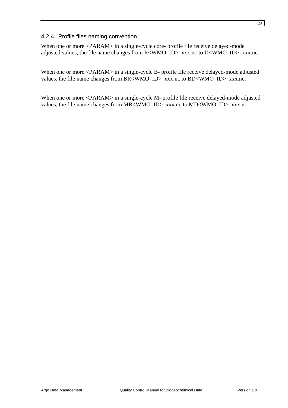#### <span id="page-28-0"></span>4.2.4. Profile files naming convention

When one or more <PARAM> in a single-cycle core- profile file receive delayed-mode adjusted values, the file name changes from R<WMO\_ID>\_xxx.nc to D<WMO\_ID>\_xxx.nc.

When one or more <PARAM> in a single-cycle B- profile file receive delayed-mode adjusted values, the file name changes from BR<WMO\_ID>\_xxx.nc to BD<WMO\_ID>\_xxx.nc.

When one or more <PARAM> in a single-cycle M- profile file receive delayed-mode adjusted values, the file name changes from MR<WMO\_ID>\_xxx.nc to MD<WMO\_ID>\_xxx.nc.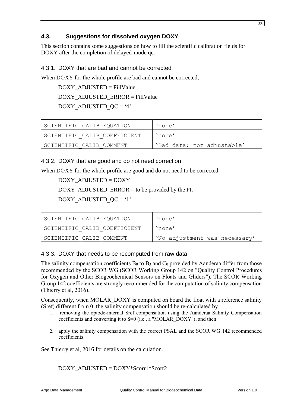# <span id="page-29-0"></span>**4.3. Suggestions for dissolved oxygen DOXY**

This section contains some suggestions on how to fill the scientific calibration fields for DOXY after the completion of delayed-mode ac.

# <span id="page-29-1"></span>4.3.1. DOXY that are bad and cannot be corrected

When DOXY for the whole profile are bad and cannot be corrected,

DOXY\_ADJUSTED = FillValue DOXY\_ADJUSTED\_ERROR = FillValue DOXY ADJUSTED  $QC = '4'.$ 

| SCIENTIFIC CALIB EOUATION    | 'none'                     |
|------------------------------|----------------------------|
| SCIENTIFIC CALIB COEFFICIENT | 'none'                     |
| SCIENTIFIC CALIB COMMENT     | 'Bad data; not adjustable' |

<span id="page-29-2"></span>4.3.2. DOXY that are good and do not need correction

When DOXY for the whole profile are good and do not need to be corrected,

DOXY\_ADJUSTED = DOXY

DOXY ADJUSTED ERROR  $=$  to be provided by the PI.

DOXY ADJUSTED  $QC = '1'.$ 

| SCIENTIFIC CALIB EQUATION      | 'none'                        |
|--------------------------------|-------------------------------|
| I SCIENTIFIC CALIB COEFFICIENT | 'none'                        |
| I SCIENTIFIC CALIB COMMENT     | 'No adjustment was necessary' |

# <span id="page-29-3"></span>4.3.3. DOXY that needs to be recomputed from raw data

The salinity compensation coefficients B<sub>0</sub> to B<sub>3</sub> and C<sub>0</sub> provided by Aanderaa differ from those recommended by the SCOR WG (SCOR Working Group 142 on "Quality Control Procedures for Oxygen and Other Biogeochemical Sensors on Floats and Gliders"). The SCOR Working Group 142 coefficients are strongly recommended for the computation of salinity compensation (Thierry et al, 2016).

Consequently, when MOLAR, DOXY is computed on board the float with a reference salinity (Sref) different from 0, the salinity compensation should be re-calculated by

- 1. removing the optode-internal Sref compensation using the Aanderaa Salinity Compensation coefficients and converting it to S=0 (i.e., a "MOLAR\_DOXY"), and then
- 2. apply the salinity compensation with the correct PSAL and the SCOR WG 142 recommended coefficients.

See Thierry et al, 2016 for details on the calculation.

DOXY\_ADJUSTED = DOXY\*Scorr1\*Scorr2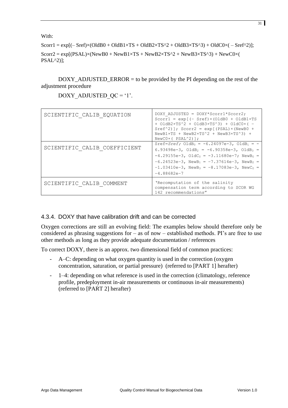With:

 $Scor1 = exp[(-Sref)x(OldB0 + OldB1 \times TS + OldB2 \times TS^2 + OldB3 \times TS^3) + OldC0 \times (-Sref^2)];$  $Scorr2 = exp[(PSAL) \times (NewB0 + NewB1 \times TS + NewB2 \times TS^2 + NewB3 \times TS^3) + NewC0 \times ($ PSAL^2)];

DOXY\_ADJUSTED\_ERROR = to be provided by the PI depending on the rest of the adjustment procedure

| SCIENTIFIC CALIB EQUATION    | DOXY ADJUSTED = DOXY*Scorr1*Scorr2;<br>Scorr $1 = exp[-Sref) \times (OldB0 + OldB1 \times TS$<br>$+$ OldB2xTS^2 + OldB3xTS^3) + OldC0x( -<br>$Sref^2$ ]; $Scorr2 = exp[(PSAL) \times (NewB0 +$<br>$NewB1\times TS + NewB2\times TS^2 + NewB3\times TS^3) +$<br>$NewC0\times(PSAL^2)$ ];                                                            |
|------------------------------|----------------------------------------------------------------------------------------------------------------------------------------------------------------------------------------------------------------------------------------------------------------------------------------------------------------------------------------------------|
| SCIENTIFIC CALIB COEFFICIENT | Sref=Sref; $O1dB_0 = -6.24097e-3$ , $O1dB_1 = -$<br>6.93498e-3, OldB <sub>2</sub> = -6.90358e-3, OldB <sub>3</sub> =<br>$-4.29155e-3$ , $O1dC_0 = -3.11680e-7$ ; $NewB_0 =$<br>$-6.24523e-3$ , NewB <sub>1</sub> = $-7.37614e-3$ , NewB <sub>2</sub> =<br>$-1.03410e-3$ , NewB <sub>3</sub> = $-8.17083e-3$ , NewC <sub>0</sub> =<br>$-4.88682e-7$ |
| SCIENTIFIC CALIB COMMENT     | 'Recomputation of the salinity<br>compensation term according to SCOR WG<br>142 recommendations"                                                                                                                                                                                                                                                   |

DOXY ADJUSTED  $QC = '1'.$ 

# <span id="page-30-0"></span>4.3.4. DOXY that have calibration drift and can be corrected

Oxygen corrections are still an evolving field: The examples below should therefore only be considered as phrasing suggestions for – as of now – established methods. PI's are free to use other methods as long as they provide adequate documentation / references

To correct DOXY, there is an approx. two dimensional field of common practices:

- A–C: depending on what oxygen quantity is used in the correction (oxygen concentration, saturation, or partial pressure) (referred to [PART 1] herafter)
- 1–4: depending on what reference is used in the correction (climatology, reference profile, predeployment in-air measurements or continuous in-air measurements) (referred to [PART 2] herafter)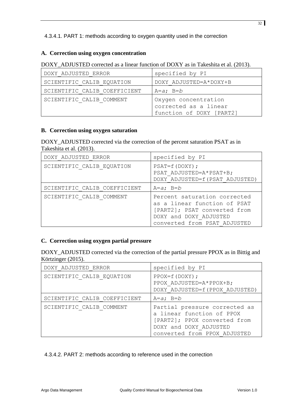<span id="page-31-0"></span>4.3.4.1. PART 1: methods according to oxygen quantity used in the correction

#### **A. Correction using oxygen concentration**

DOXY ADJUSTED corrected as a linear function of DOXY as in Takeshita et al. (2013).

| DOXY ADJUSTED ERROR          | specified by PI                                                           |
|------------------------------|---------------------------------------------------------------------------|
| SCIENTIFIC CALIB EQUATION    | DOXY ADJUSTED=A*DOXY+B                                                    |
| SCIENTIFIC CALIB COEFFICIENT | $A=a; B=b$                                                                |
| SCIENTIFIC CALIB COMMENT     | Oxygen concentration<br>corrected as a linear<br>function of DOXY [PART2] |

#### **B. Correction using oxygen saturation**

DOXY\_ADJUSTED corrected via the correction of the percent saturation PSAT as in Takeshita et al. (2013).

| DOXY ADJUSTED ERROR          | specified by PI                                                                                                                                        |
|------------------------------|--------------------------------------------------------------------------------------------------------------------------------------------------------|
| SCIENTIFIC CALIB EQUATION    | $PSAT=f(DOXY);$<br>PSAT ADJUSTED=A*PSAT+B;<br>DOXY ADJUSTED=f(PSAT ADJUSTED)                                                                           |
| SCIENTIFIC CALIB COEFFICIENT | $A=a; B=b$                                                                                                                                             |
| SCIENTIFIC CALIB COMMENT     | Percent saturation corrected<br>as a linear function of PSAT<br>[PART2]; PSAT converted from<br>DOXY and DOXY ADJUSTED<br>converted from PSAT ADJUSTED |

#### **C. Correction using oxygen partial pressure**

DOXY\_ADJUSTED corrected via the correction of the partial pressure PPOX as in Bittig and Körtzinger (2015).

| DOXY ADJUSTED ERROR          | specified by PI                                                                                                                                      |
|------------------------------|------------------------------------------------------------------------------------------------------------------------------------------------------|
| SCIENTIFIC CALIB EQUATION    | $PPOX = f(DOXY)$ ;<br>PPOX ADJUSTED=A*PPOX+B;<br>DOXY ADJUSTED=f(PPOX ADJUSTED)                                                                      |
| SCIENTIFIC CALIB COEFFICIENT | $A=a; B=b$                                                                                                                                           |
| SCIENTIFIC CALIB COMMENT     | Partial pressure corrected as<br>a linear function of PPOX<br>[PART2]; PPOX converted from<br>DOXY and DOXY ADJUSTED<br>converted from PPOX ADJUSTED |

<span id="page-31-1"></span>4.3.4.2. PART 2: methods according to reference used in the correction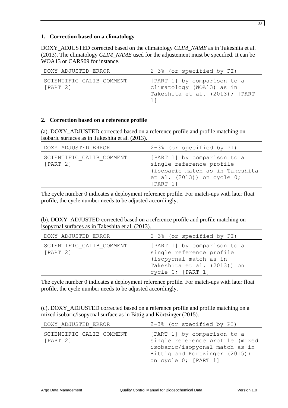#### **1. Correction based on a climatology**

DOXY\_ADJUSTED corrected based on the climatology *CLIM\_NAME* as in Takeshita et al. (2013). The climatology *CLIM\_NAME* used for the adjustement must be specified. It can be WOA13 or CARS09 for instance.

| DOXY ADJUSTED ERROR                  | 2-3% (or specified by PI)                                                                  |
|--------------------------------------|--------------------------------------------------------------------------------------------|
| SCIENTIFIC CALIB COMMENT<br>[PART 2] | [PART 1] by comparison to a<br>climatology (WOA13) as in<br>Takeshita et al. (2013); [PART |

# **2. Correction based on a reference profile**

(a). DOXY\_ADJUSTED corrected based on a reference profile and profile matching on isobaric surfaces as in Takeshita et al. (2013).

| DOXY ADJUSTED ERROR                  | 2-3% (or specified by PI)                                                                                                               |
|--------------------------------------|-----------------------------------------------------------------------------------------------------------------------------------------|
| SCIENTIFIC CALIB COMMENT<br>[PART 2] | [PART 1] by comparison to a<br>single reference profile<br>(isobaric match as in Takeshita<br>et al. $(2013)$ ) on cycle 0;<br>[PART 1] |

The cycle number 0 indicates a deployment reference profile. For match-ups with later float profile, the cycle number needs to be adjusted accordingly.

| (b). DOXY_ADJUSTED corrected based on a reference profile and profile matching on |  |
|-----------------------------------------------------------------------------------|--|
| isopycnal surfaces as in Takeshita et al. (2013).                                 |  |

| DOXY ADJUSTED ERROR                  | 2-3% (or specified by PI)                                                                                                             |
|--------------------------------------|---------------------------------------------------------------------------------------------------------------------------------------|
| SCIENTIFIC CALIB COMMENT<br>[PART 2] | [PART 1] by comparison to a<br>single reference profile<br>(isopycnal match as in<br>Takeshita et al. (2013)) on<br>cycle 0; [PART 1] |

The cycle number 0 indicates a deployment reference profile. For match-ups with later float profile, the cycle number needs to be adjusted accordingly.

| (c). DOXY_ADJUSTED corrected based on a reference profile and profile matching on a |  |
|-------------------------------------------------------------------------------------|--|
| mixed isobaric/isopycnal surface as in Bittig and Körtzinger (2015).                |  |

| DOXY ADJUSTED ERROR                  | 2-3% (or specified by PI)                                                                                                                                 |
|--------------------------------------|-----------------------------------------------------------------------------------------------------------------------------------------------------------|
| SCIENTIFIC CALIB COMMENT<br>[PART 2] | [PART 1] by comparison to a<br>single reference profile (mixed<br>isobaric/isopycnal match as in<br>Bittig and Körtzinger (2015))<br>on cycle 0; [PART 1] |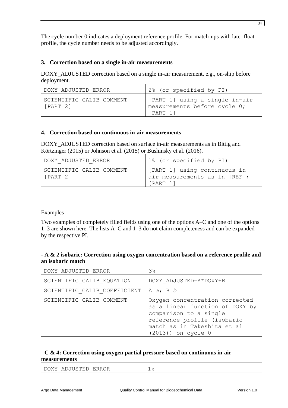The cycle number 0 indicates a deployment reference profile. For match-ups with later float profile, the cycle number needs to be adjusted accordingly.

#### **3. Correction based on a single in-air measurements**

DOXY ADJUSTED correction based on a single in-air measurement, e.g., on-ship before deployment.

| DOXY ADJUSTED ERROR                  | 2% (or specified by PI)                                                     |
|--------------------------------------|-----------------------------------------------------------------------------|
| SCIENTIFIC CALIB COMMENT<br>[PART 2] | [PART 1] using a single in-air<br>Imeasurements before cycle 0;<br>[PART 1] |

#### **4. Correction based on continuous in-air measurements**

DOXY\_ADJUSTED correction based on surface in-air measurements as in Bittig and Körtzinger (2015) or Johnson et al. (2015) or Bushinsky et al. (2016).

| I DOXY ADJUSTED ERROR                | 1% (or specified by PI)                                                    |
|--------------------------------------|----------------------------------------------------------------------------|
| SCIENTIFIC CALIB COMMENT<br>[PART 2] | [PART 1] using continuous in-<br>air measurements as in [REF];<br>[PART 1] |

#### Examples

Two examples of completely filled fields using one of the options A–C and one of the options 1–3 are shown here. The lists A–C and 1–3 do not claim completeness and can be expanded by the respective PI.

#### **- A & 2 isobaric: Correction using oxygen concentration based on a reference profile and an isobaric match**

| DOXY ADJUSTED ERROR          | 3 <sup>°</sup>                                                                                                                                                                     |
|------------------------------|------------------------------------------------------------------------------------------------------------------------------------------------------------------------------------|
| SCIENTIFIC CALIB EQUATION    | DOXY ADJUSTED=A*DOXY+B                                                                                                                                                             |
| SCIENTIFIC CALIB COEFFICIENT | $A=a$ ; $B=b$                                                                                                                                                                      |
| SCIENTIFIC CALIB COMMENT     | Oxygen concentration corrected<br>as a linear function of DOXY by<br>comparison to a single<br>reference profile (isobaric<br>match as in Takeshita et al<br>$(2013)$ ) on cycle 0 |

#### **- C & 4: Correction using oxygen partial pressure based on continuous in-air measurements**

| ADJUSTED<br><b>ERROR</b><br>DOXY | - |
|----------------------------------|---|
|----------------------------------|---|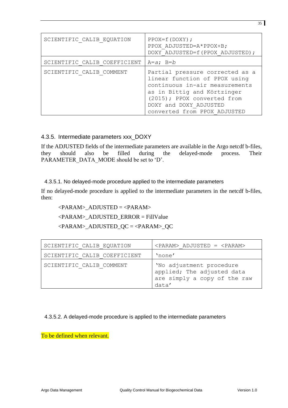| SCIENTIFIC CALIB EQUATION    | $PPOX = f(DOXY);$<br>PPOX ADJUSTED=A*PPOX+B;<br>DOXY ADJUSTED=f(PPOX ADJUSTED);                                                                                                                                            |
|------------------------------|----------------------------------------------------------------------------------------------------------------------------------------------------------------------------------------------------------------------------|
| SCIENTIFIC CALIB COEFFICIENT | $A=a$ : $B=b$                                                                                                                                                                                                              |
| SCIENTIFIC CALIB COMMENT     | Partial pressure corrected as a<br>linear function of PPOX using<br>continuous in-air measurements<br>as in Bittig and Körtzinger<br>(2015); PPOX converted from<br>DOXY and DOXY ADJUSTED<br>converted from PPOX ADJUSTED |

#### <span id="page-34-0"></span>4.3.5. Intermediate parameters xxx\_DOXY

If the ADJUSTED fields of the intermediate parameters are available in the Argo netcdf b-files, they should also be filled during the delayed-mode process. Their PARAMETER\_DATA\_MODE should be set to 'D'.

#### <span id="page-34-1"></span>4.3.5.1. No delayed-mode procedure applied to the intermediate parameters

If no delayed-mode procedure is applied to the intermediate parameters in the netcdf b-files, then:

#### <PARAM>\_ADJUSTED = <PARAM>

 $\langle$ PARAM> ADJUSTED\_ERROR = FillValue

<PARAM>\_ADJUSTED\_QC = <PARAM>\_QC

| SCIENTIFIC CALIB EQUATION    | $\langle$ PARAM> ADJUSTED = $\langle$ PARAM>                                                    |
|------------------------------|-------------------------------------------------------------------------------------------------|
| SCIENTIFIC CALIB COEFFICIENT | 'none'                                                                                          |
| SCIENTIFIC CALIB COMMENT     | 'No adjustment procedure<br>applied; The adjusted data<br>are simply a copy of the raw<br>data' |

#### <span id="page-34-2"></span>4.3.5.2. A delayed-mode procedure is applied to the intermediate parameters

To be defined when relevant.